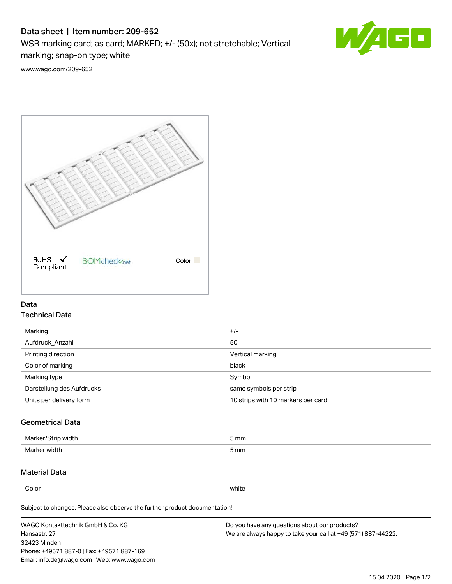# Data sheet | Item number: 209-652

WSB marking card; as card; MARKED; +/- (50x); not stretchable; Vertical

marking; snap-on type; white



[www.wago.com/209-652](http://www.wago.com/209-652)



### Data Technical Data

| Marking                   | $+/-$                              |
|---------------------------|------------------------------------|
| Aufdruck Anzahl           | 50                                 |
| Printing direction        | Vertical marking                   |
| Color of marking          | black                              |
| Marking type              | Symbol                             |
| Darstellung des Aufdrucks | same symbols per strip             |
| Units per delivery form   | 10 strips with 10 markers per card |

## Geometrical Data

| طلقاء ئ<br><b>Marker</b><br>widtr | ັກmm |
|-----------------------------------|------|
| Marker width                      | 5 mm |

## Material Data

Color white

Subject to changes. Please also observe the further product documentation!

WAGO Kontakttechnik GmbH & Co. KG Hansastr. 27 32423 Minden Phone: +49571 887-0 | Fax: +49571 887-169 Email: info.de@wago.com | Web: www.wago.com Do you have any questions about our products? We are always happy to take your call at +49 (571) 887-44222.